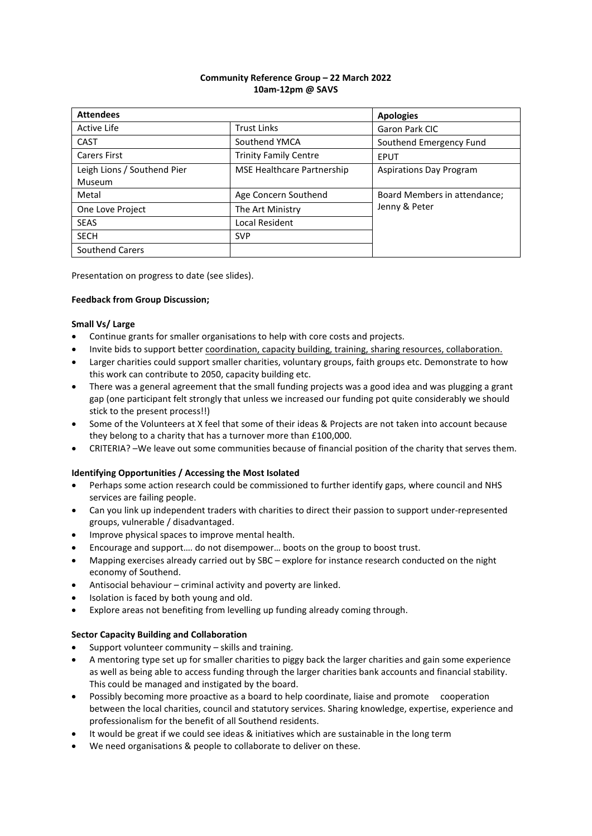## **Community Reference Group – 22 March 2022 10am-12pm @ SAVS**

| <b>Attendees</b>                      |                              | <b>Apologies</b>               |
|---------------------------------------|------------------------------|--------------------------------|
| Active Life                           | <b>Trust Links</b>           | Garon Park CIC                 |
| CAST                                  | Southend YMCA                | Southend Emergency Fund        |
| <b>Carers First</b>                   | <b>Trinity Family Centre</b> | <b>EPUT</b>                    |
| Leigh Lions / Southend Pier<br>Museum | MSE Healthcare Partnership   | <b>Aspirations Day Program</b> |
| Metal                                 | Age Concern Southend         | Board Members in attendance;   |
| One Love Project                      | The Art Ministry             | Jenny & Peter                  |
| <b>SEAS</b>                           | Local Resident               |                                |
| <b>SECH</b>                           | <b>SVP</b>                   |                                |
| <b>Southend Carers</b>                |                              |                                |

Presentation on progress to date (see slides).

## **Feedback from Group Discussion;**

## **Small Vs/ Large**

- Continue grants for smaller organisations to help with core costs and projects.
- Invite bids to support better coordination, capacity building, training, sharing resources, collaboration.
- Larger charities could support smaller charities, voluntary groups, faith groups etc. Demonstrate to how this work can contribute to 2050, capacity building etc.
- There was a general agreement that the small funding projects was a good idea and was plugging a grant gap (one participant felt strongly that unless we increased our funding pot quite considerably we should stick to the present process!!)
- Some of the Volunteers at X feel that some of their ideas & Projects are not taken into account because they belong to a charity that has a turnover more than £100,000.
- CRITERIA? –We leave out some communities because of financial position of the charity that serves them.

#### **Identifying Opportunities / Accessing the Most Isolated**

- Perhaps some action research could be commissioned to further identify gaps, where council and NHS services are failing people.
- Can you link up independent traders with charities to direct their passion to support under-represented groups, vulnerable / disadvantaged.
- Improve physical spaces to improve mental health.
- Encourage and support…. do not disempower… boots on the group to boost trust.
- Mapping exercises already carried out by SBC explore for instance research conducted on the night economy of Southend.
- Antisocial behaviour criminal activity and poverty are linked.
- Isolation is faced by both young and old.
- Explore areas not benefiting from levelling up funding already coming through.

# **Sector Capacity Building and Collaboration**

- Support volunteer community skills and training.
- A mentoring type set up for smaller charities to piggy back the larger charities and gain some experience as well as being able to access funding through the larger charities bank accounts and financial stability. This could be managed and instigated by the board.
- Possibly becoming more proactive as a board to help coordinate, liaise and promote cooperation between the local charities, council and statutory services. Sharing knowledge, expertise, experience and professionalism for the benefit of all Southend residents.
- It would be great if we could see ideas & initiatives which are sustainable in the long term
- We need organisations & people to collaborate to deliver on these.